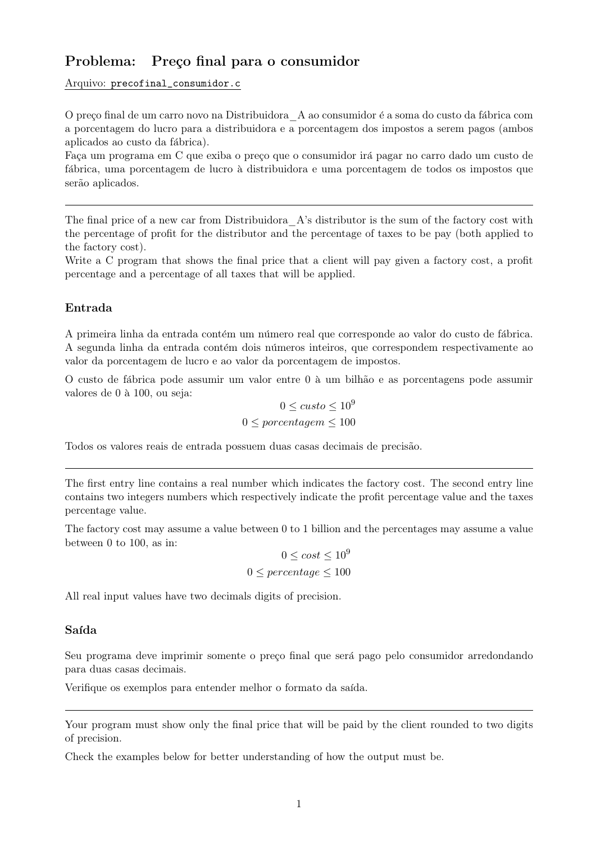# Problema: Preço final para o consumidor

#### Arquivo: precofinal consumidor.c

O preço final de um carro novo na Distribuidora A ao consumidor é a soma do custo da fábrica com a porcentagem do lucro para a distribuidora e a porcentagem dos impostos a serem pagos (ambos aplicados ao custo da fábrica).

Faça um programa em C que exiba o preço que o consumidor irá pagar no carro dado um custo de fábrica, uma porcentagem de lucro à distribuidora e uma porcentagem de todos os impostos que serão aplicados.

The final price of a new car from Distribuidora A's distributor is the sum of the factory cost with the percentage of profit for the distributor and the percentage of taxes to be pay (both applied to the factory cost).

Write a C program that shows the final price that a client will pay given a factory cost, a profit percentage and a percentage of all taxes that will be applied.

## Entrada

A primeira linha da entrada contém um número real que corresponde ao valor do custo de fábrica. A segunda linha da entrada contém dois números inteiros, que correspondem respectivamente ao valor da porcentagem de lucro e ao valor da porcentagem de impostos.

O custo de fábrica pode assumir um valor entre 0 à um bilhão e as porcentagens pode assumir valores de 0 à 100, ou seja:

$$
0 \leq custo \leq 10^9
$$
  

$$
0 \leq porcentagem \leq 100
$$

Todos os valores reais de entrada possuem duas casas decimais de precisão.

The first entry line contains a real number which indicates the factory cost. The second entry line contains two integers numbers which respectively indicate the profit percentage value and the taxes percentage value.

The factory cost may assume a value between 0 to 1 billion and the percentages may assume a value between 0 to 100, as in:

$$
0 \le cost \le 10^9
$$
  

$$
0 \le percentage \le 100
$$

All real input values have two decimals digits of precision.

### Saída

Seu programa deve imprimir somente o preço final que será pago pelo consumidor arredondando para duas casas decimais.

Verifique os exemplos para entender melhor o formato da saída.

Your program must show only the final price that will be paid by the client rounded to two digits of precision.

Check the examples below for better understanding of how the output must be.